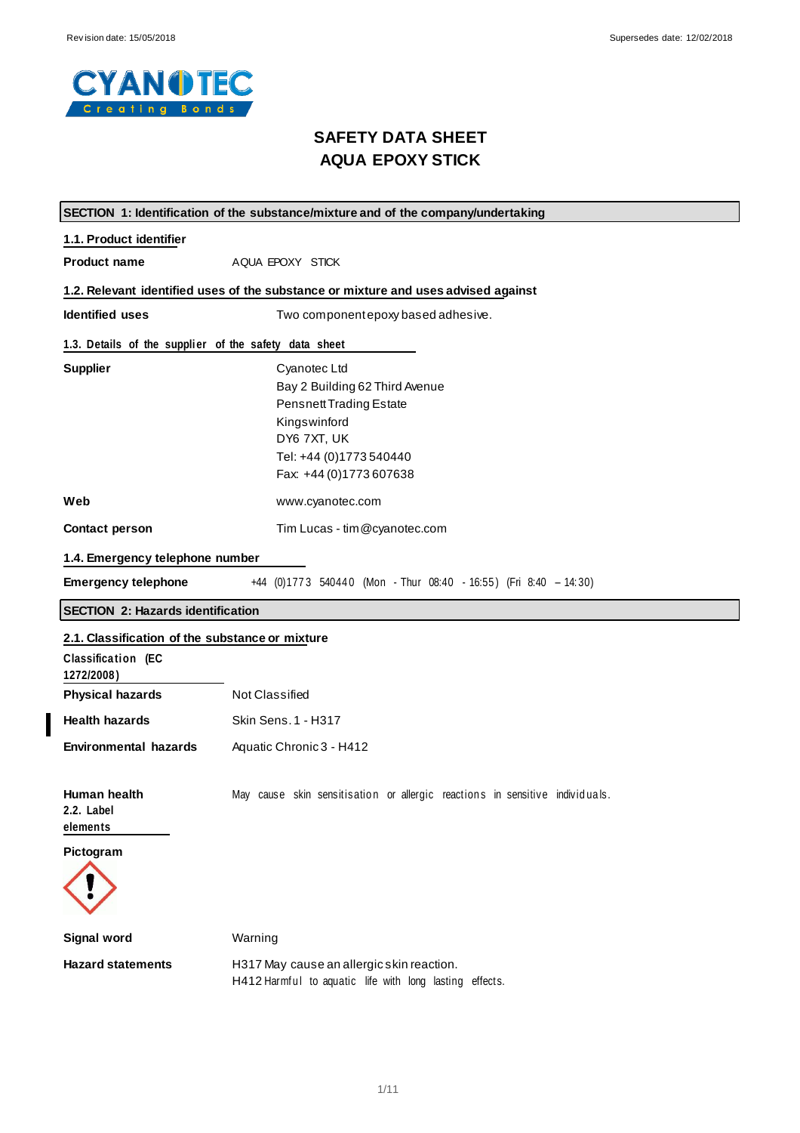$\overline{\phantom{a}}$ 



# **SAFETY DATA SHEET AQUA EPOXY STICK**

|                                                       | SECTION 1: Identification of the substance/mixture and of the company/undertaking                                                                                      |  |  |  |
|-------------------------------------------------------|------------------------------------------------------------------------------------------------------------------------------------------------------------------------|--|--|--|
| 1.1. Product identifier                               |                                                                                                                                                                        |  |  |  |
| <b>Product name</b>                                   | AQUA EPOXY STICK                                                                                                                                                       |  |  |  |
|                                                       | 1.2. Relevant identified uses of the substance or mixture and uses advised against                                                                                     |  |  |  |
| <b>Identified uses</b>                                | Two componentepoxy based adhesive.                                                                                                                                     |  |  |  |
| 1.3. Details of the supplier of the safety data sheet |                                                                                                                                                                        |  |  |  |
| <b>Supplier</b>                                       | Cyanotec Ltd<br>Bay 2 Building 62 Third Avenue<br><b>Pensnett Trading Estate</b><br>Kingswinford<br>DY6 7XT, UK<br>Tel: +44 (0)1773 540440<br>Fax: +44 (0) 1773 607638 |  |  |  |
| Web                                                   | www.cyanotec.com                                                                                                                                                       |  |  |  |
| <b>Contact person</b>                                 | Tim Lucas - tim @cyanotec.com                                                                                                                                          |  |  |  |
| 1.4. Emergency telephone number                       |                                                                                                                                                                        |  |  |  |
| <b>Emergency telephone</b>                            | +44 (0)1773 540440 (Mon - Thur 08:40 - 16:55) (Fri 8:40 - 14:30)                                                                                                       |  |  |  |
| <b>SECTION 2: Hazards identification</b>              |                                                                                                                                                                        |  |  |  |
| 2.1. Classification of the substance or mixture       |                                                                                                                                                                        |  |  |  |
| Classification (EC<br>1272/2008)                      |                                                                                                                                                                        |  |  |  |
| <b>Physical hazards</b>                               | Not Classified                                                                                                                                                         |  |  |  |
| <b>Health hazards</b>                                 | <b>Skin Sens. 1 - H317</b>                                                                                                                                             |  |  |  |
| <b>Environmental hazards</b>                          | Aquatic Chronic 3 - H412                                                                                                                                               |  |  |  |
| Human health<br>2.2. Label<br>elements<br>Pictogram   | May cause skin sensitisation or allergic reactions in sensitive individuals.                                                                                           |  |  |  |
| <b>Signal word</b>                                    | Warning                                                                                                                                                                |  |  |  |
| <b>Hazard statements</b>                              | H317 May cause an allergic skin reaction.<br>H412 Harmful to aquatic life with long lasting effects.                                                                   |  |  |  |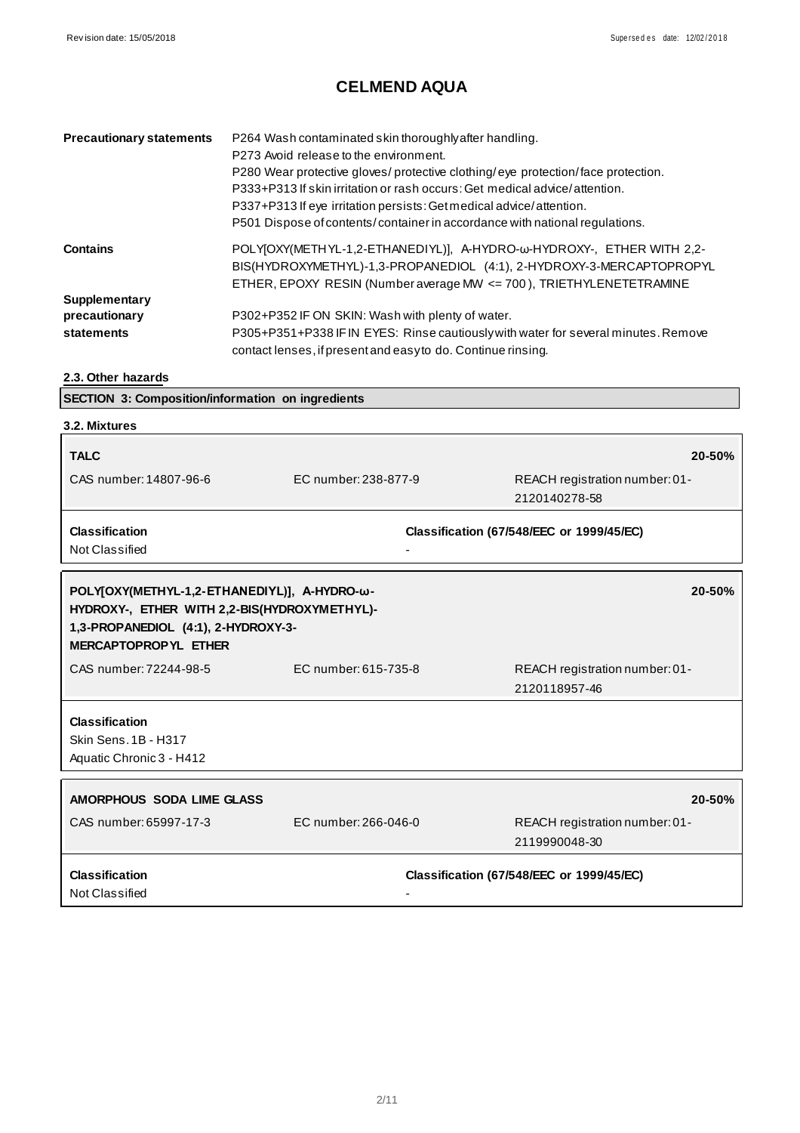| <b>Precautionary statements</b> | P264 Wash contaminated skin thoroughly after handling.<br>P273 Avoid release to the environment.<br>P280 Wear protective gloves/protective clothing/eye protection/face protection.<br>P333+P313 If skin irritation or rash occurs: Get medical advice/attention. |
|---------------------------------|-------------------------------------------------------------------------------------------------------------------------------------------------------------------------------------------------------------------------------------------------------------------|
|                                 | P337+P313 If eye irritation persists: Get medical advice/attention.<br>P501 Dispose of contents/container in accordance with national regulations.                                                                                                                |
| <b>Contains</b>                 | POLYJOXY(METHYL-1,2-ETHANEDIYL)], A-HYDRO-w-HYDROXY-, ETHER WITH 2,2-<br>BIS(HYDROXYMETHYL)-1,3-PROPANEDIOL (4:1), 2-HYDROXY-3-MERCAPTOPROPYL<br>ETHER, EPOXY RESIN (Number average MW <= 700), TRIETHYLENETETRAMINE                                              |
| Supplementary                   |                                                                                                                                                                                                                                                                   |
| precautionary                   | P302+P352 IF ON SKIN: Wash with plenty of water.                                                                                                                                                                                                                  |
| statements                      | P305+P351+P338 IF IN EYES: Rinse cautiously with water for several minutes. Remove<br>contact lenses, if present and easy to do. Continue rinsing.                                                                                                                |

**2.3. Other hazards**

**SECTION 3: Composition/information on ingredients**

| 3.2. Mixtures                                                                       |                      |                                           |
|-------------------------------------------------------------------------------------|----------------------|-------------------------------------------|
| <b>TALC</b>                                                                         |                      | 20-50%                                    |
| CAS number: 14807-96-6                                                              | EC number: 238-877-9 | REACH registration number: 01-            |
|                                                                                     |                      | 2120140278-58                             |
| <b>Classification</b>                                                               |                      | Classification (67/548/EEC or 1999/45/EC) |
| Not Classified                                                                      |                      |                                           |
|                                                                                     |                      |                                           |
| POLY[OXY(METHYL-1,2-ETHANEDIYL)], A-HYDRO-ω-                                        |                      | 20-50%                                    |
| HYDROXY-, ETHER WITH 2,2-BIS(HYDROXYMETHYL)-<br>1,3-PROPANEDIOL (4:1), 2-HYDROXY-3- |                      |                                           |
| MERCAPTOPROPYL ETHER                                                                |                      |                                           |
| CAS number: 72244-98-5                                                              | EC number: 615-735-8 | REACH registration number: 01-            |
|                                                                                     |                      | 2120118957-46                             |
|                                                                                     |                      |                                           |
| <b>Classification</b><br><b>Skin Sens. 1B - H317</b>                                |                      |                                           |
| Aquatic Chronic 3 - H412                                                            |                      |                                           |
|                                                                                     |                      |                                           |
| AMORPHOUS SODA LIME GLASS                                                           |                      | 20-50%                                    |
| CAS number: 65997-17-3                                                              | EC number: 266-046-0 | REACH registration number: 01-            |
|                                                                                     |                      | 2119990048-30                             |
| <b>Classification</b>                                                               |                      | Classification (67/548/EEC or 1999/45/EC) |
| Not Classified                                                                      |                      |                                           |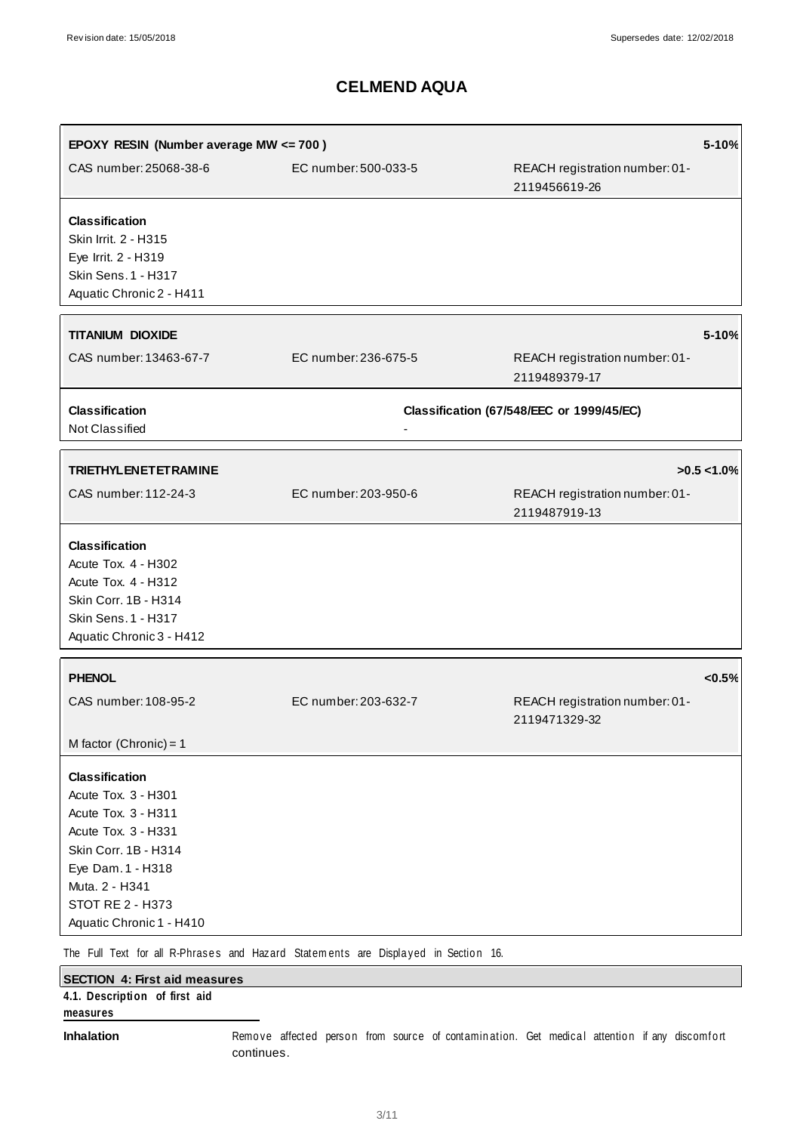| EPOXY RESIN (Number average MW <= 700)                                                                                                                                                                           |                                                                                    |                                                 | 5-10%         |
|------------------------------------------------------------------------------------------------------------------------------------------------------------------------------------------------------------------|------------------------------------------------------------------------------------|-------------------------------------------------|---------------|
| CAS number: 25068-38-6                                                                                                                                                                                           | EC number: 500-033-5                                                               | REACH registration number: 01-<br>2119456619-26 |               |
| <b>Classification</b><br>Skin Irrit. 2 - H315<br>Eye Irrit. 2 - H319<br><b>Skin Sens. 1 - H317</b><br>Aquatic Chronic 2 - H411                                                                                   |                                                                                    |                                                 |               |
| <b>TITANIUM DIOXIDE</b>                                                                                                                                                                                          |                                                                                    |                                                 | 5-10%         |
| CAS number: 13463-67-7                                                                                                                                                                                           | EC number: 236-675-5                                                               | REACH registration number: 01-<br>2119489379-17 |               |
| <b>Classification</b><br>Not Classified                                                                                                                                                                          |                                                                                    | Classification (67/548/EEC or 1999/45/EC)       |               |
| <b>TRIETHYLENETETRAMINE</b>                                                                                                                                                                                      |                                                                                    |                                                 | $>0.5$ < 1.0% |
| CAS number: 112-24-3                                                                                                                                                                                             | EC number: 203-950-6                                                               | REACH registration number: 01-<br>2119487919-13 |               |
| <b>Classification</b><br>Acute Tox. 4 - H302<br>Acute Tox. 4 - H312<br>Skin Corr. 1B - H314<br><b>Skin Sens. 1 - H317</b><br>Aquatic Chronic 3 - H412                                                            |                                                                                    |                                                 |               |
| <b>PHENOL</b>                                                                                                                                                                                                    |                                                                                    |                                                 | < 0.5%        |
| CAS number: 108-95-2                                                                                                                                                                                             | EC number: 203-632-7                                                               | REACH registration number: 01-<br>2119471329-32 |               |
| M factor (Chronic) = $1$                                                                                                                                                                                         |                                                                                    |                                                 |               |
| <b>Classification</b><br>Acute Tox. 3 - H301<br>Acute Tox. 3 - H311<br>Acute Tox. 3 - H331<br>Skin Corr. 1B - H314<br>Eye Dam. 1 - H318<br>Muta. 2 - H341<br><b>STOT RE 2 - H373</b><br>Aquatic Chronic 1 - H410 |                                                                                    |                                                 |               |
|                                                                                                                                                                                                                  | The Full Text for all R-Phrases and Hazard Statements are Displayed in Section 16. |                                                 |               |

| SECTION 4: First aid measures |  |  |                                                                                              |  |  |  |
|-------------------------------|--|--|----------------------------------------------------------------------------------------------|--|--|--|
| 4.1. Description of first aid |  |  |                                                                                              |  |  |  |
| measures                      |  |  |                                                                                              |  |  |  |
| <b>Inhalation</b>             |  |  | Remove affected person from source of contamination. Get medical attention if any discomfort |  |  |  |

continues.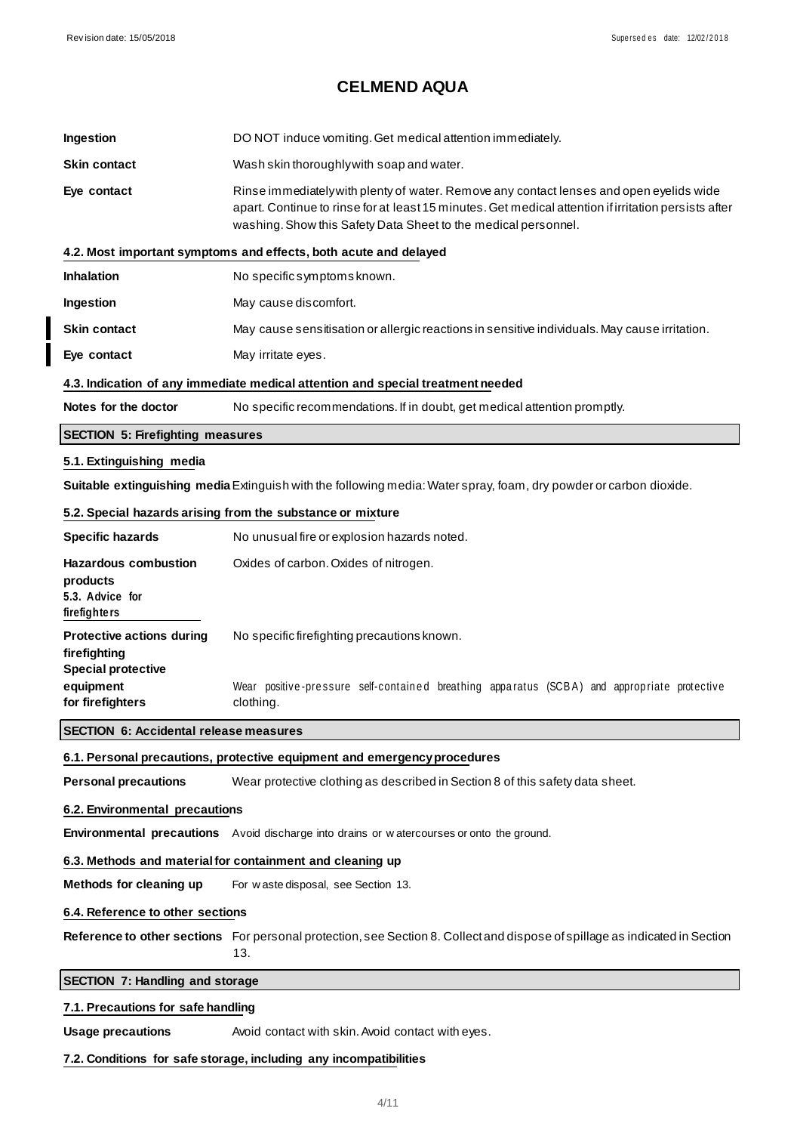┃

# **CELMEND AQUA**

| Ingestion                                                                     | DO NOT induce vomiting. Get medical attention immediately.                                                                                                                                                                                                        |
|-------------------------------------------------------------------------------|-------------------------------------------------------------------------------------------------------------------------------------------------------------------------------------------------------------------------------------------------------------------|
| <b>Skin contact</b>                                                           | Wash skin thoroughly with soap and water.                                                                                                                                                                                                                         |
| Eye contact                                                                   | Rinse immediately with plenty of water. Remove any contact lenses and open eyelids wide<br>apart. Continue to rinse for at least 15 minutes. Get medical attention if irritation persists after<br>washing. Show this Safety Data Sheet to the medical personnel. |
|                                                                               | 4.2. Most important symptoms and effects, both acute and delayed                                                                                                                                                                                                  |
| <b>Inhalation</b>                                                             | No specific symptoms known.                                                                                                                                                                                                                                       |
| Ingestion                                                                     | May cause discomfort.                                                                                                                                                                                                                                             |
| <b>Skin contact</b>                                                           | May cause sensitisation or allergic reactions in sensitive individuals. May cause irritation.                                                                                                                                                                     |
| Eye contact                                                                   | May irritate eyes.                                                                                                                                                                                                                                                |
|                                                                               | 4.3. Indication of any immediate medical attention and special treatment needed                                                                                                                                                                                   |
| Notes for the doctor                                                          | No specific recommendations. If in doubt, get medical attention promptly.                                                                                                                                                                                         |
| <b>SECTION 5: Firefighting measures</b>                                       |                                                                                                                                                                                                                                                                   |
| 5.1. Extinguishing media                                                      |                                                                                                                                                                                                                                                                   |
|                                                                               | Suitable extinguishing media Extinguish with the following media: Water spray, foam, dry powder or carbon dioxide.                                                                                                                                                |
|                                                                               | 5.2. Special hazards arising from the substance or mixture                                                                                                                                                                                                        |
| <b>Specific hazards</b>                                                       | No unusual fire or explosion hazards noted.                                                                                                                                                                                                                       |
| <b>Hazardous combustion</b>                                                   | Oxides of carbon. Oxides of nitrogen.                                                                                                                                                                                                                             |
| products<br>5.3. Advice for<br>firefighters                                   |                                                                                                                                                                                                                                                                   |
| <b>Protective actions during</b><br>firefighting<br><b>Special protective</b> | No specific firefighting precautions known.                                                                                                                                                                                                                       |
| equipment<br>for firefighters                                                 | Wear positive-pressure self-contained breathing apparatus (SCBA) and appropriate protective<br>clothing.                                                                                                                                                          |
| <b>SECTION 6: Accidental release measures</b>                                 |                                                                                                                                                                                                                                                                   |
|                                                                               | 6.1. Personal precautions, protective equipment and emergency procedures                                                                                                                                                                                          |
| <b>Personal precautions</b>                                                   | Wear protective clothing as described in Section 8 of this safety data sheet.                                                                                                                                                                                     |
| 6.2. Environmental precautions                                                |                                                                                                                                                                                                                                                                   |
|                                                                               | Environmental precautions Avoid discharge into drains or watercourses or onto the ground.                                                                                                                                                                         |
|                                                                               | 6.3. Methods and material for containment and cleaning up                                                                                                                                                                                                         |
| Methods for cleaning up                                                       | For waste disposal, see Section 13.                                                                                                                                                                                                                               |
| 6.4. Reference to other sections                                              |                                                                                                                                                                                                                                                                   |
|                                                                               | Reference to other sections For personal protection, see Section 8. Collect and dispose of spillage as indicated in Section<br>13.                                                                                                                                |
| <b>SECTION 7: Handling and storage</b>                                        |                                                                                                                                                                                                                                                                   |
| 7.1. Precautions for safe handling                                            |                                                                                                                                                                                                                                                                   |
| <b>Usage precautions</b>                                                      | Avoid contact with skin. Avoid contact with eyes.                                                                                                                                                                                                                 |

## **7.2. Conditions for safe storage, including any incompatibilities**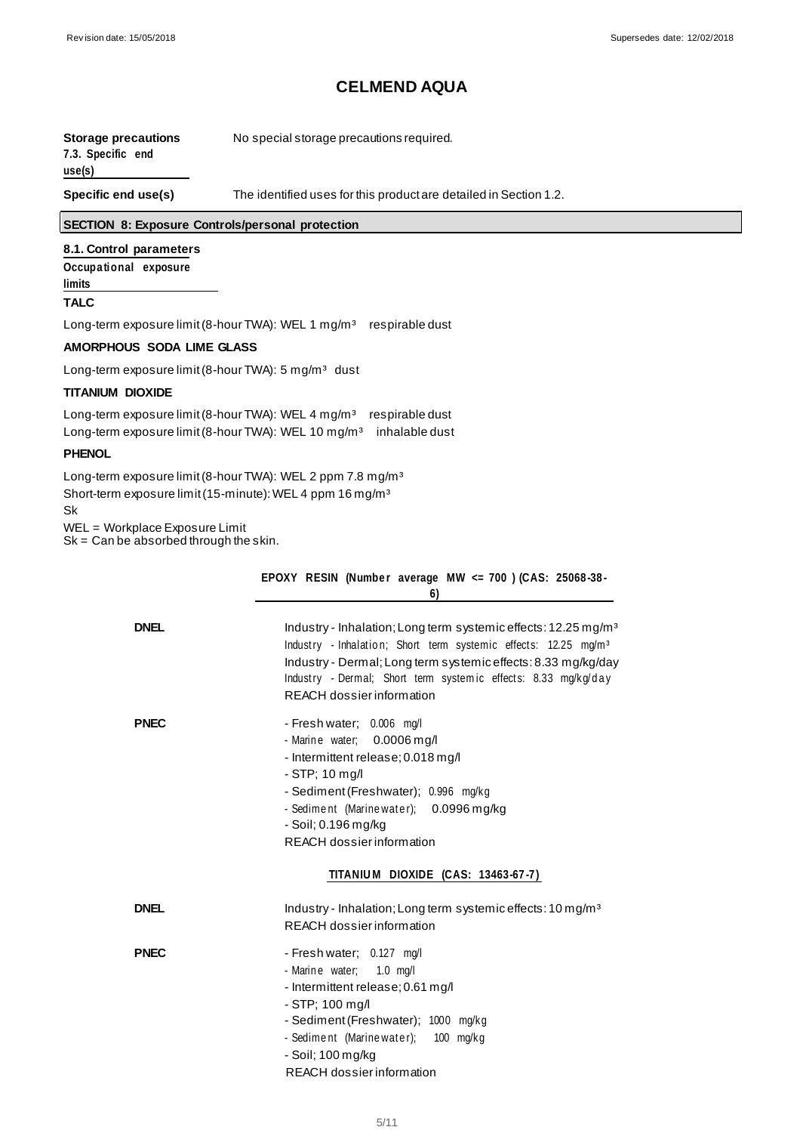| <b>Storage precautions</b><br>7.3. Specific end<br>use(s) | No special storage precautions required.                          |
|-----------------------------------------------------------|-------------------------------------------------------------------|
| Specific end use(s)                                       | The identified uses for this product are detailed in Section 1.2. |

### **SECTION 8: Exposure Controls/personal protection**

### **8.1. Control parameters**

**Occupa tional exposure limits**

#### **TALC**

Long-term exposure limit (8-hour TWA): WEL 1 mg/m<sup>3</sup> respirable dust

#### **AMORPHOUS SODA LIME GLASS**

Long-term exposure limit (8-hour TWA): 5 mg/m<sup>3</sup> dust

### **TITANIUM DIOXIDE**

Long-term exposure limit (8-hour TWA): WEL 4 mg/m<sup>3</sup> respirable dust Long-term exposure limit (8-hour TWA): WEL 10 mg/m<sup>3</sup> inhalable dust

#### **PHENOL**

Long-term exposure limit (8-hour TWA): WEL 2 ppm 7.8 mg/m<sup>3</sup> Short-term exposure limit (15-minute): WEL 4 ppm 16 mg/m<sup>3</sup>

Sk

WEL = Workplace Exposure Limit

 $Sk = Can be absorbed through the skin.$ 

|             | EPOXY RESIN (Number average MW $\leq$ 700 ) (CAS: 25068-38-<br>6)                                                                                                                                                                                                                                                         |
|-------------|---------------------------------------------------------------------------------------------------------------------------------------------------------------------------------------------------------------------------------------------------------------------------------------------------------------------------|
| <b>DNEL</b> | Industry - Inhalation; Long term systemic effects: 12.25 mg/m <sup>3</sup><br>Industry - Inhalation; Short term systemic effects: 12.25 mg/m <sup>3</sup><br>Industry - Dermal; Long term systemic effects: 8.33 mg/kg/day<br>Industry - Dermal; Short term systemic effects: 8.33 mg/kg/day<br>REACH dossier information |
| <b>PNEC</b> | - Fresh water; 0.006 mg/l<br>- Marine water; 0.0006 mg/l<br>- Intermittent release; 0.018 mg/l<br>$-$ STP; 10 mg/l<br>- Sediment (Freshwater); 0.996 mg/kg<br>- Sediment (Marine water); 0.0996 mg/kg<br>- Soil; 0.196 mg/kg<br>REACH dossier information                                                                 |
|             | TITANIUM DIOXIDE (CAS: 13463-67-7)                                                                                                                                                                                                                                                                                        |
| <b>DNEL</b> | Industry - Inhalation; Long term systemic effects: 10 mg/m <sup>3</sup><br>REACH dossier information                                                                                                                                                                                                                      |
| <b>PNEC</b> | - Fresh water; 0.127 mg/l<br>- Marine water; 1.0 mg/l<br>- Intermittent release; 0.61 mg/l<br>- STP; 100 mg/l<br>- Sediment (Freshwater); 1000 mg/kg<br>- Sediment (Marinewater); 100 mg/kg<br>- Soil; 100 mg/kg<br>REACH dossier information                                                                             |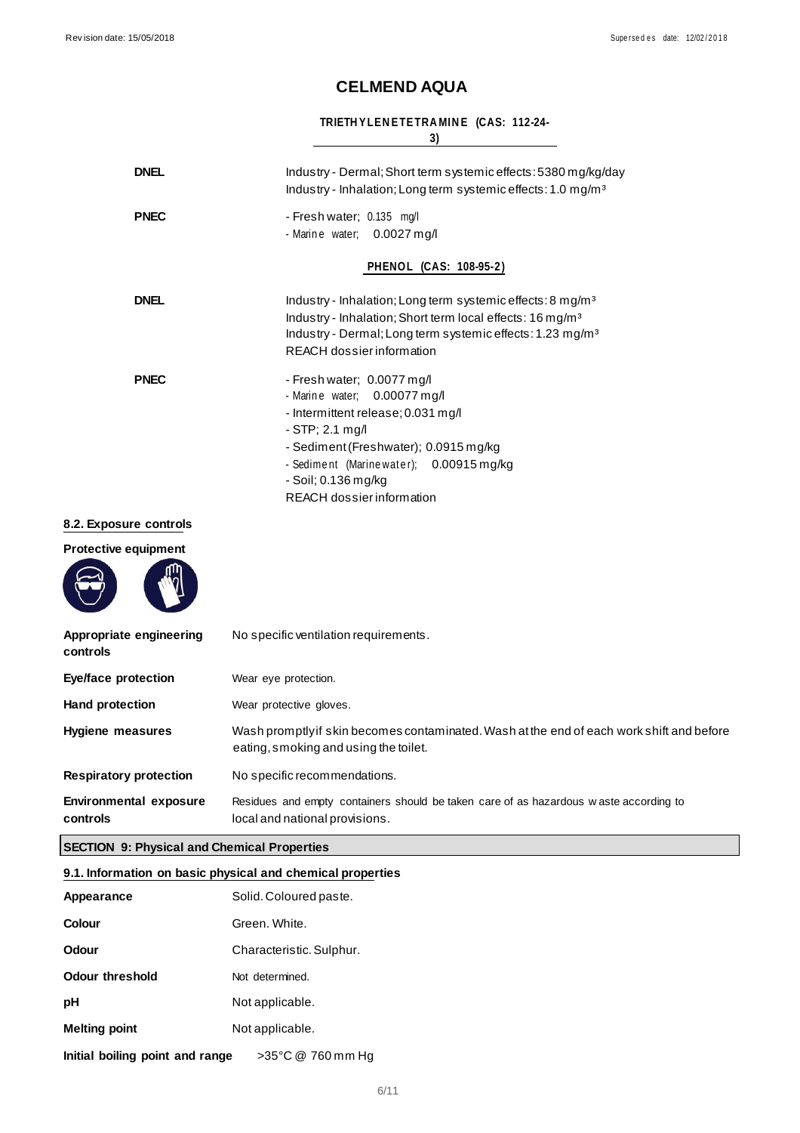### **TRIETH YLEN ETETRA MIN E (CAS: 112-24-**

**3)**

| <b>DNEL</b>  | Industry - Dermal; Short term systemic effects: 5380 mg/kg/day<br>Industry - Inhalation; Long term systemic effects: 1.0 mg/m <sup>3</sup>                                                                                                                    |
|--------------|---------------------------------------------------------------------------------------------------------------------------------------------------------------------------------------------------------------------------------------------------------------|
| <b>PNEC</b>  | - Fresh water; 0.135 mg/l<br>- Marine water; 0.0027 mg/l                                                                                                                                                                                                      |
|              | <b>PHENOL (CAS: 108-95-2)</b>                                                                                                                                                                                                                                 |
| <b>DNEL</b>  | Industry - Inhalation; Long term systemic effects: 8 mg/m <sup>3</sup><br>Industry - Inhalation; Short term local effects: 16 mg/m <sup>3</sup><br>Industry - Dermal; Long term systemic effects: 1.23 mg/m <sup>3</sup><br>REACH dossier information         |
| <b>PNEC</b>  | - Fresh water; 0.0077 mg/l<br>- Marine water; 0.00077 mg/l<br>- Intermittent release; 0.031 mg/l<br>$-STP: 2.1$ mg/l<br>- Sediment (Freshwater); 0.0915 mg/kg<br>- Sediment (Marine water); 0.00915 mg/kg<br>- Soil; 0.136 mg/kg<br>REACH dossier information |
| ure controls |                                                                                                                                                                                                                                                               |
| equipment    |                                                                                                                                                                                                                                                               |

## **8.2. Expose**

**Protective equip** 



| Appropriate engineering<br>controls       | No specific ventilation requirements.                                                                                              |
|-------------------------------------------|------------------------------------------------------------------------------------------------------------------------------------|
| Eye/face protection                       | Wear eye protection.                                                                                                               |
| <b>Hand protection</b>                    | Wear protective gloves.                                                                                                            |
| <b>Hygiene measures</b>                   | Wash promptly if skin becomes contaminated. Wash at the end of each work shift and before<br>eating, smoking and using the toilet. |
| <b>Respiratory protection</b>             | No specific recommendations.                                                                                                       |
| <b>Environmental exposure</b><br>controls | Residues and empty containers should be taken care of as hazardous waste according to<br>local and national provisions.            |

### **SECTION 9: Physical and Chemical Properties**

### **9.1. Information on basic physical and chemical properties**

| Appearance                      | Solid. Coloured paste.   |
|---------------------------------|--------------------------|
| Colour                          | Green, White.            |
| <b>Odour</b>                    | Characteristic. Sulphur. |
| Odour threshold                 | Not determined.          |
| рH                              | Not applicable.          |
| <b>Melting point</b>            | Not applicable.          |
| Initial boiling point and range | >35°C @ 760 mm Hg        |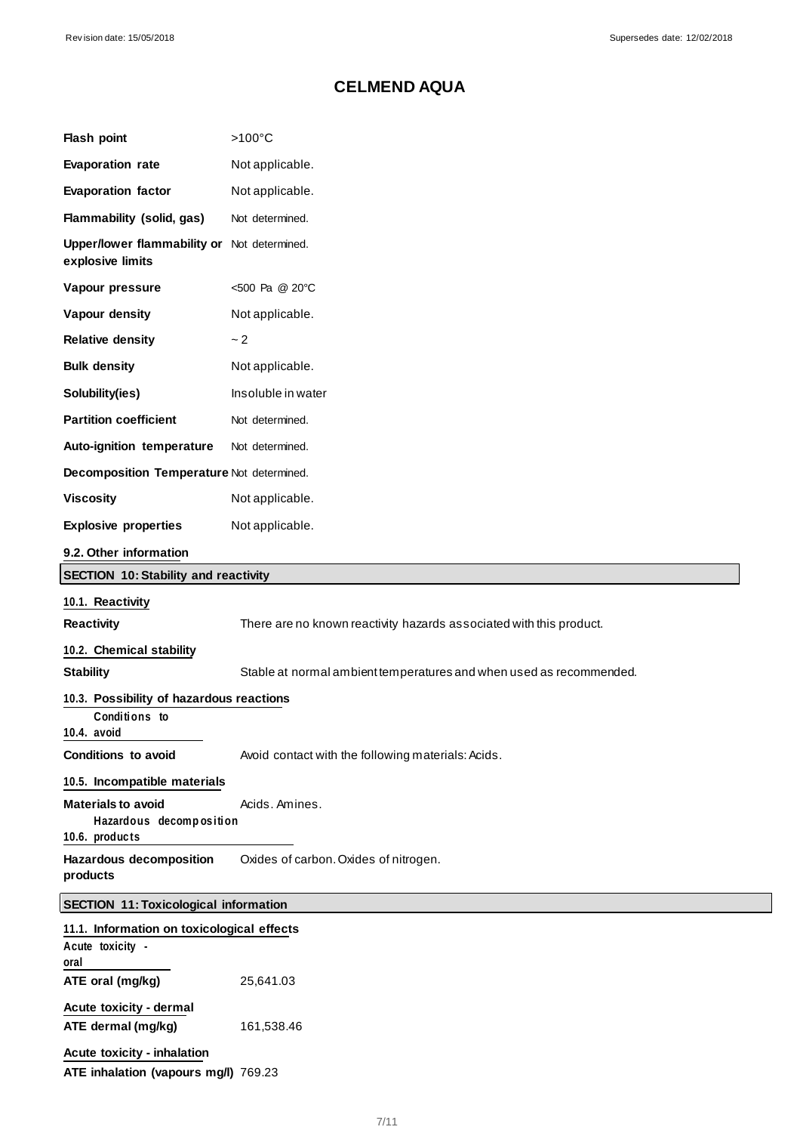| Flash point                                                            | $>100^{\circ}$ C                                                    |
|------------------------------------------------------------------------|---------------------------------------------------------------------|
| <b>Evaporation rate</b>                                                | Not applicable.                                                     |
| <b>Evaporation factor</b>                                              | Not applicable.                                                     |
| Flammability (solid, gas)                                              | Not determined.                                                     |
| Upper/lower flammability or Not determined.<br>explosive limits        |                                                                     |
| Vapour pressure                                                        | <500 Pa @ 20°C                                                      |
| Vapour density                                                         | Not applicable.                                                     |
| <b>Relative density</b>                                                | ~2                                                                  |
| <b>Bulk density</b>                                                    | Not applicable.                                                     |
| Solubility(ies)                                                        | Insoluble in water                                                  |
| <b>Partition coefficient</b>                                           | Not determined.                                                     |
| Auto-ignition temperature                                              | Not determined.                                                     |
| Decomposition Temperature Not determined.                              |                                                                     |
| <b>Viscosity</b>                                                       | Not applicable.                                                     |
| <b>Explosive properties</b>                                            | Not applicable.                                                     |
| 9.2. Other information                                                 |                                                                     |
| <b>SECTION 10: Stability and reactivity</b>                            |                                                                     |
| 10.1. Reactivity                                                       |                                                                     |
| <b>Reactivity</b>                                                      | There are no known reactivity hazards associated with this product. |
| 10.2. Chemical stability                                               |                                                                     |
| <b>Stability</b>                                                       | Stable at normal ambient temperatures and when used as recommended. |
| 10.3. Possibility of hazardous reactions                               |                                                                     |
| Conditions to<br>10.4. avoid                                           |                                                                     |
| <b>Conditions to avoid</b>                                             | Avoid contact with the following materials: Acids.                  |
| 10.5. Incompatible materials                                           |                                                                     |
| <b>Materials to avoid</b><br>Hazardous decomposition<br>10.6. products | Acids. Amines.                                                      |
| <b>Hazardous decomposition</b><br>products                             | Oxides of carbon. Oxides of nitrogen.                               |
| <b>SECTION 11: Toxicological information</b>                           |                                                                     |
| 11.1. Information on toxicological effects                             |                                                                     |
| Acute toxicity -<br>oral                                               |                                                                     |
| ATE oral (mg/kg)                                                       | 25,641.03                                                           |
| Acute toxicity - dermal                                                |                                                                     |
| ATE dermal (mg/kg)                                                     | 161,538.46                                                          |
| Acute toxicity - inhalation                                            |                                                                     |
| ATE inhalation (vapours mg/l) 769.23                                   |                                                                     |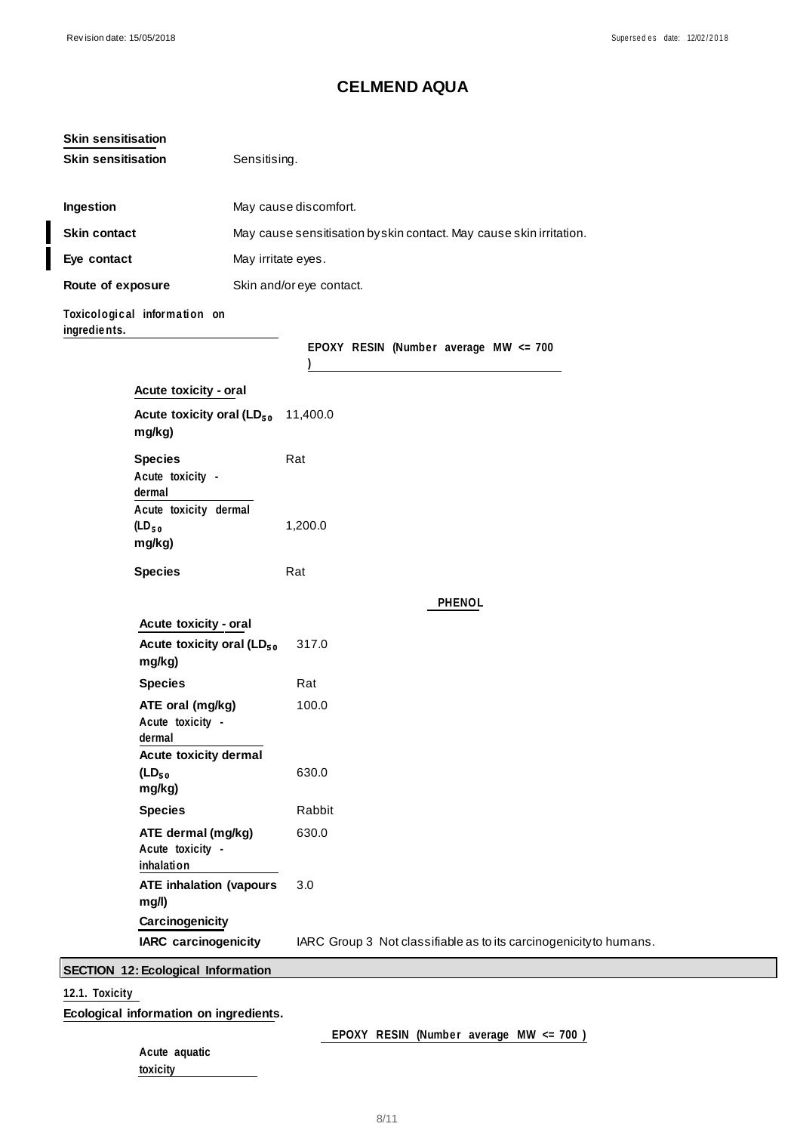| <b>Skin sensitisation</b><br>Sensitising.<br><b>Ingestion</b><br>May cause discomfort.<br>Skin contact<br>May cause sensitisation byskin contact. May cause skin irritation.<br>Eye contact<br>May irritate eyes.<br>Route of exposure<br>Skin and/or eye contact.<br>Toxicological information on<br>ingredients.<br>EPOXY RESIN (Number average MW <= 700<br>Acute toxicity - oral<br>Acute toxicity oral (LD <sub>50</sub> 11,400.0<br>mg/kg)<br><b>Species</b><br>Rat<br>Acute toxicity -<br>dermal<br>Acute toxicity dermal<br>(LD <sub>50</sub><br>1,200.0<br>mg/kg)<br><b>Species</b><br>Rat<br><b>PHENOL</b><br>Acute toxicity - oral<br>Acute toxicity oral (LD <sub>50</sub><br>317.0<br>mg/kg)<br><b>Species</b><br>Rat<br>ATE oral (mg/kg)<br>100.0<br>Acute toxicity -<br>dermal<br>Acute toxicity dermal<br>$(LD_{50}$<br>630.0<br>mg/kg)<br><b>Species</b><br>Rabbit<br>630.0<br>ATE dermal (mg/kg)<br>Acute toxicity -<br>inhalation<br><b>ATE inhalation (vapours</b><br>3.0<br>mg/l)<br>Carcinogenicity<br><b>IARC</b> carcinogenicity<br>IARC Group 3 Not classifiable as to its carcinogenicity to humans.<br><b>SECTION 12: Ecological Information</b> | <b>Skin sensitisation</b> |  |  |  |
|-----------------------------------------------------------------------------------------------------------------------------------------------------------------------------------------------------------------------------------------------------------------------------------------------------------------------------------------------------------------------------------------------------------------------------------------------------------------------------------------------------------------------------------------------------------------------------------------------------------------------------------------------------------------------------------------------------------------------------------------------------------------------------------------------------------------------------------------------------------------------------------------------------------------------------------------------------------------------------------------------------------------------------------------------------------------------------------------------------------------------------------------------------------------------------|---------------------------|--|--|--|
|                                                                                                                                                                                                                                                                                                                                                                                                                                                                                                                                                                                                                                                                                                                                                                                                                                                                                                                                                                                                                                                                                                                                                                             |                           |  |  |  |
|                                                                                                                                                                                                                                                                                                                                                                                                                                                                                                                                                                                                                                                                                                                                                                                                                                                                                                                                                                                                                                                                                                                                                                             |                           |  |  |  |
|                                                                                                                                                                                                                                                                                                                                                                                                                                                                                                                                                                                                                                                                                                                                                                                                                                                                                                                                                                                                                                                                                                                                                                             |                           |  |  |  |
|                                                                                                                                                                                                                                                                                                                                                                                                                                                                                                                                                                                                                                                                                                                                                                                                                                                                                                                                                                                                                                                                                                                                                                             |                           |  |  |  |
|                                                                                                                                                                                                                                                                                                                                                                                                                                                                                                                                                                                                                                                                                                                                                                                                                                                                                                                                                                                                                                                                                                                                                                             |                           |  |  |  |
|                                                                                                                                                                                                                                                                                                                                                                                                                                                                                                                                                                                                                                                                                                                                                                                                                                                                                                                                                                                                                                                                                                                                                                             |                           |  |  |  |
|                                                                                                                                                                                                                                                                                                                                                                                                                                                                                                                                                                                                                                                                                                                                                                                                                                                                                                                                                                                                                                                                                                                                                                             |                           |  |  |  |
|                                                                                                                                                                                                                                                                                                                                                                                                                                                                                                                                                                                                                                                                                                                                                                                                                                                                                                                                                                                                                                                                                                                                                                             |                           |  |  |  |
|                                                                                                                                                                                                                                                                                                                                                                                                                                                                                                                                                                                                                                                                                                                                                                                                                                                                                                                                                                                                                                                                                                                                                                             |                           |  |  |  |
|                                                                                                                                                                                                                                                                                                                                                                                                                                                                                                                                                                                                                                                                                                                                                                                                                                                                                                                                                                                                                                                                                                                                                                             |                           |  |  |  |
|                                                                                                                                                                                                                                                                                                                                                                                                                                                                                                                                                                                                                                                                                                                                                                                                                                                                                                                                                                                                                                                                                                                                                                             |                           |  |  |  |
|                                                                                                                                                                                                                                                                                                                                                                                                                                                                                                                                                                                                                                                                                                                                                                                                                                                                                                                                                                                                                                                                                                                                                                             |                           |  |  |  |
|                                                                                                                                                                                                                                                                                                                                                                                                                                                                                                                                                                                                                                                                                                                                                                                                                                                                                                                                                                                                                                                                                                                                                                             |                           |  |  |  |
|                                                                                                                                                                                                                                                                                                                                                                                                                                                                                                                                                                                                                                                                                                                                                                                                                                                                                                                                                                                                                                                                                                                                                                             |                           |  |  |  |
|                                                                                                                                                                                                                                                                                                                                                                                                                                                                                                                                                                                                                                                                                                                                                                                                                                                                                                                                                                                                                                                                                                                                                                             |                           |  |  |  |
|                                                                                                                                                                                                                                                                                                                                                                                                                                                                                                                                                                                                                                                                                                                                                                                                                                                                                                                                                                                                                                                                                                                                                                             |                           |  |  |  |
|                                                                                                                                                                                                                                                                                                                                                                                                                                                                                                                                                                                                                                                                                                                                                                                                                                                                                                                                                                                                                                                                                                                                                                             |                           |  |  |  |
|                                                                                                                                                                                                                                                                                                                                                                                                                                                                                                                                                                                                                                                                                                                                                                                                                                                                                                                                                                                                                                                                                                                                                                             |                           |  |  |  |
|                                                                                                                                                                                                                                                                                                                                                                                                                                                                                                                                                                                                                                                                                                                                                                                                                                                                                                                                                                                                                                                                                                                                                                             |                           |  |  |  |
|                                                                                                                                                                                                                                                                                                                                                                                                                                                                                                                                                                                                                                                                                                                                                                                                                                                                                                                                                                                                                                                                                                                                                                             |                           |  |  |  |
|                                                                                                                                                                                                                                                                                                                                                                                                                                                                                                                                                                                                                                                                                                                                                                                                                                                                                                                                                                                                                                                                                                                                                                             |                           |  |  |  |
|                                                                                                                                                                                                                                                                                                                                                                                                                                                                                                                                                                                                                                                                                                                                                                                                                                                                                                                                                                                                                                                                                                                                                                             |                           |  |  |  |
|                                                                                                                                                                                                                                                                                                                                                                                                                                                                                                                                                                                                                                                                                                                                                                                                                                                                                                                                                                                                                                                                                                                                                                             |                           |  |  |  |
|                                                                                                                                                                                                                                                                                                                                                                                                                                                                                                                                                                                                                                                                                                                                                                                                                                                                                                                                                                                                                                                                                                                                                                             |                           |  |  |  |

## **12.1. Toxicity**

**Ecological information on ingredients.**

EPOXY RESIN (Number average MW <= 700 )

|          | Acute aquatic |
|----------|---------------|
| toxicity |               |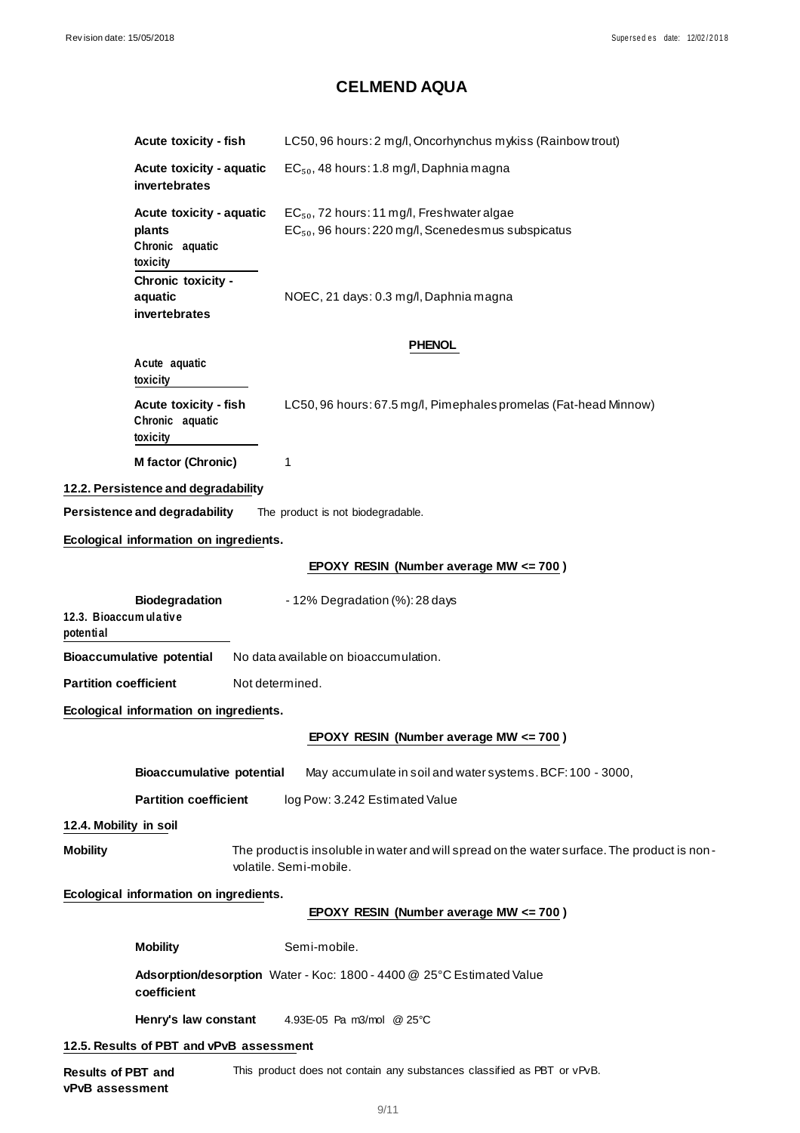|                                                                                                | <b>Acute toxicity - fish</b>                                                                                          | LC50, 96 hours: 2 mg/l, Oncorhynchus mykiss (Rainbow trout)                                                              |  |  |  |
|------------------------------------------------------------------------------------------------|-----------------------------------------------------------------------------------------------------------------------|--------------------------------------------------------------------------------------------------------------------------|--|--|--|
|                                                                                                | Acute toxicity - aquatic<br>invertebrates                                                                             | $EC_{50}$ , 48 hours: 1.8 mg/l, Daphnia magna                                                                            |  |  |  |
|                                                                                                | Acute toxicity - aquatic<br>plants<br>Chronic aquatic<br>toxicity                                                     | EC <sub>50</sub> , 72 hours: 11 mg/l, Freshwater algae<br>EC <sub>50</sub> , 96 hours: 220 mg/l, Scenedesmus subspicatus |  |  |  |
|                                                                                                | Chronic toxicity -<br>aquatic<br>invertebrates                                                                        | NOEC, 21 days: 0.3 mg/l, Daphnia magna                                                                                   |  |  |  |
|                                                                                                |                                                                                                                       | <b>PHENOL</b>                                                                                                            |  |  |  |
|                                                                                                | Acute aquatic<br>toxicity                                                                                             |                                                                                                                          |  |  |  |
|                                                                                                | <b>Acute toxicity - fish</b><br>Chronic aquatic<br>toxicity                                                           | LC50, 96 hours: 67.5 mg/l, Pimephales promelas (Fat-head Minnow)                                                         |  |  |  |
|                                                                                                | M factor (Chronic)                                                                                                    | 1                                                                                                                        |  |  |  |
|                                                                                                | 12.2. Persistence and degradability                                                                                   |                                                                                                                          |  |  |  |
|                                                                                                | Persistence and degradability                                                                                         | The product is not biodegradable.                                                                                        |  |  |  |
|                                                                                                | Ecological information on ingredients.                                                                                |                                                                                                                          |  |  |  |
|                                                                                                |                                                                                                                       | EPOXY RESIN (Number average MW <= 700)                                                                                   |  |  |  |
| <b>Biodegradation</b><br>- 12% Degradation (%): 28 days<br>12.3. Bioaccum ulative<br>potential |                                                                                                                       |                                                                                                                          |  |  |  |
|                                                                                                | <b>Bioaccumulative potential</b>                                                                                      | No data available on bioaccumulation.                                                                                    |  |  |  |
| <b>Partition coefficient</b>                                                                   |                                                                                                                       | Not determined.                                                                                                          |  |  |  |
|                                                                                                | Ecological information on ingredients.                                                                                |                                                                                                                          |  |  |  |
|                                                                                                |                                                                                                                       | EPOXY RESIN (Number average MW <= 700)                                                                                   |  |  |  |
|                                                                                                | <b>Bioaccumulative potential</b>                                                                                      | May accumulate in soil and water systems. BCF: 100 - 3000,                                                               |  |  |  |
|                                                                                                | <b>Partition coefficient</b>                                                                                          | log Pow: 3.242 Estimated Value                                                                                           |  |  |  |
| 12.4. Mobility in soil                                                                         |                                                                                                                       |                                                                                                                          |  |  |  |
| <b>Mobility</b>                                                                                | The product is insoluble in water and will spread on the water surface. The product is non-<br>volatile. Semi-mobile. |                                                                                                                          |  |  |  |
| Ecological information on ingredients.                                                         |                                                                                                                       |                                                                                                                          |  |  |  |
|                                                                                                |                                                                                                                       | EPOXY RESIN (Number average MW <= 700)                                                                                   |  |  |  |
|                                                                                                | <b>Mobility</b>                                                                                                       | Semi-mobile.                                                                                                             |  |  |  |
|                                                                                                | coefficient                                                                                                           | Adsorption/desorption Water - Koc: 1800 - 4400 @ 25°C Estimated Value                                                    |  |  |  |
|                                                                                                | Henry's law constant                                                                                                  | 4.93E-05 Pa m3/mol @ 25°C                                                                                                |  |  |  |
| 12.5. Results of PBT and vPvB assessment                                                       |                                                                                                                       |                                                                                                                          |  |  |  |
| <b>Results of PBT and</b>                                                                      |                                                                                                                       | This product does not contain any substances classified as PBT or vPvB.                                                  |  |  |  |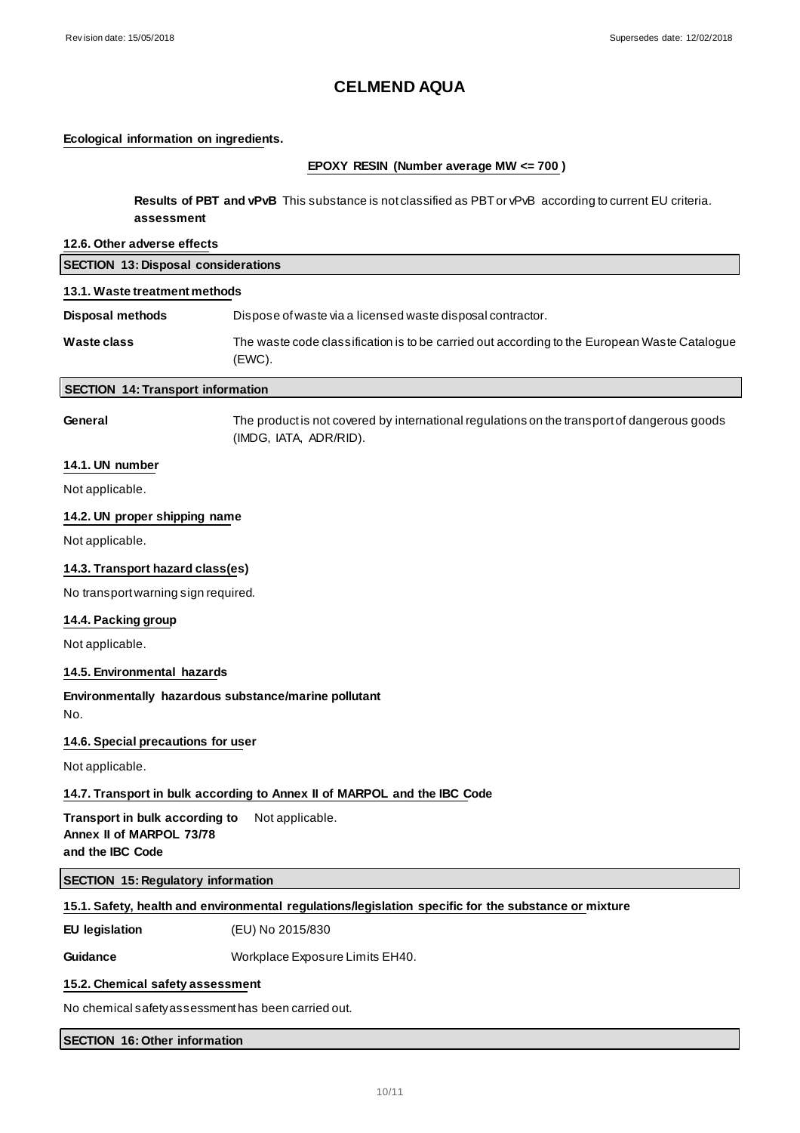### **Ecological information on ingredients.**

#### **EPOXY RESIN (Number average MW <= 700 )**

**Results of PBT and vPvB** This substance is not classified as PBT or vPvB according to current EU criteria. **assessment**

## **12.6. Other adverse effects**

| <b>12.0. Other adverse effects</b>         |                                                                                                                       |  |  |  |  |
|--------------------------------------------|-----------------------------------------------------------------------------------------------------------------------|--|--|--|--|
| <b>SECTION 13: Disposal considerations</b> |                                                                                                                       |  |  |  |  |
| 13.1. Waste treatment methods              |                                                                                                                       |  |  |  |  |
| <b>Disposal methods</b>                    | Dispose of waste via a licensed waste disposal contractor.                                                            |  |  |  |  |
| <b>Waste class</b>                         | The waste code classification is to be carried out according to the European Waste Catalogue<br>(EWC).                |  |  |  |  |
| <b>SECTION 14: Transport information</b>   |                                                                                                                       |  |  |  |  |
| General                                    | The product is not covered by international regulations on the transport of dangerous goods<br>(IMDG, IATA, ADR/RID). |  |  |  |  |
| 14.1. UN number                            |                                                                                                                       |  |  |  |  |
| Not applicable.                            |                                                                                                                       |  |  |  |  |
| 14.2. UN proper shipping name              |                                                                                                                       |  |  |  |  |
| Not applicable.                            |                                                                                                                       |  |  |  |  |
| 14.3. Transport hazard class(es)           |                                                                                                                       |  |  |  |  |
| No transport warning sign required.        |                                                                                                                       |  |  |  |  |
| 14.4. Packing group                        |                                                                                                                       |  |  |  |  |
| Not applicable.                            |                                                                                                                       |  |  |  |  |
| 14.5. Environmental hazards                |                                                                                                                       |  |  |  |  |
| No.                                        | Environmentally hazardous substance/marine pollutant                                                                  |  |  |  |  |
| 14.6. Special precautions for user         |                                                                                                                       |  |  |  |  |
| Not applicable.                            |                                                                                                                       |  |  |  |  |

#### **14.7. Transport in bulk according to Annex II of MARPOL and the IBC Code**

**Transport in bulk according to** Not applicable. **Annex II of MARPOL 73/78 and the IBC Code**

#### **SECTION 15: Regulatory information**

## **15.1. Safety, health and environmental regulations/legislation specific for the substance or mixture**

**EU legislation** (EU) No 2015/830

Guidance **Guidance** Workplace Exposure Limits EH40.

#### **15.2. Chemical safety assessment**

No chemical safety assessment has been carried out.

### **SECTION 16: Other information**